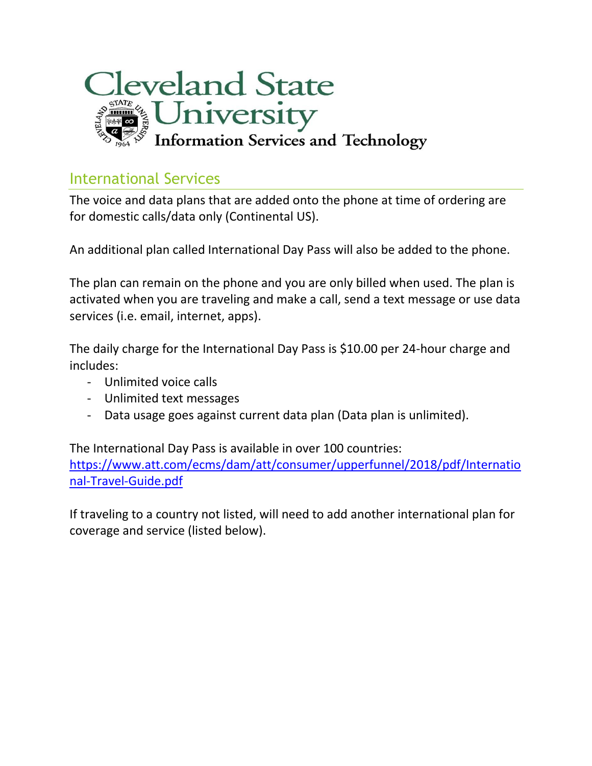

## International Services

The voice and data plans that are added onto the phone at time of ordering are for domestic calls/data only (Continental US).

An additional plan called International Day Pass will also be added to the phone.

The plan can remain on the phone and you are only billed when used. The plan is activated when you are traveling and make a call, send a text message or use data services (i.e. email, internet, apps).

The daily charge for the International Day Pass is \$10.00 per 24-hour charge and includes:

- Unlimited voice calls
- Unlimited text messages
- Data usage goes against current data plan (Data plan is unlimited).

The International Day Pass is available in over 100 countries: [https://www.att.com/ecms/dam/att/consumer/upperfunnel/2018/pdf/Internatio](https://www.att.com/ecms/dam/att/consumer/upperfunnel/2018/pdf/International-Travel-Guide.pdf) [nal-Travel-Guide.pdf](https://www.att.com/ecms/dam/att/consumer/upperfunnel/2018/pdf/International-Travel-Guide.pdf)

If traveling to a country not listed, will need to add another international plan for coverage and service (listed below).